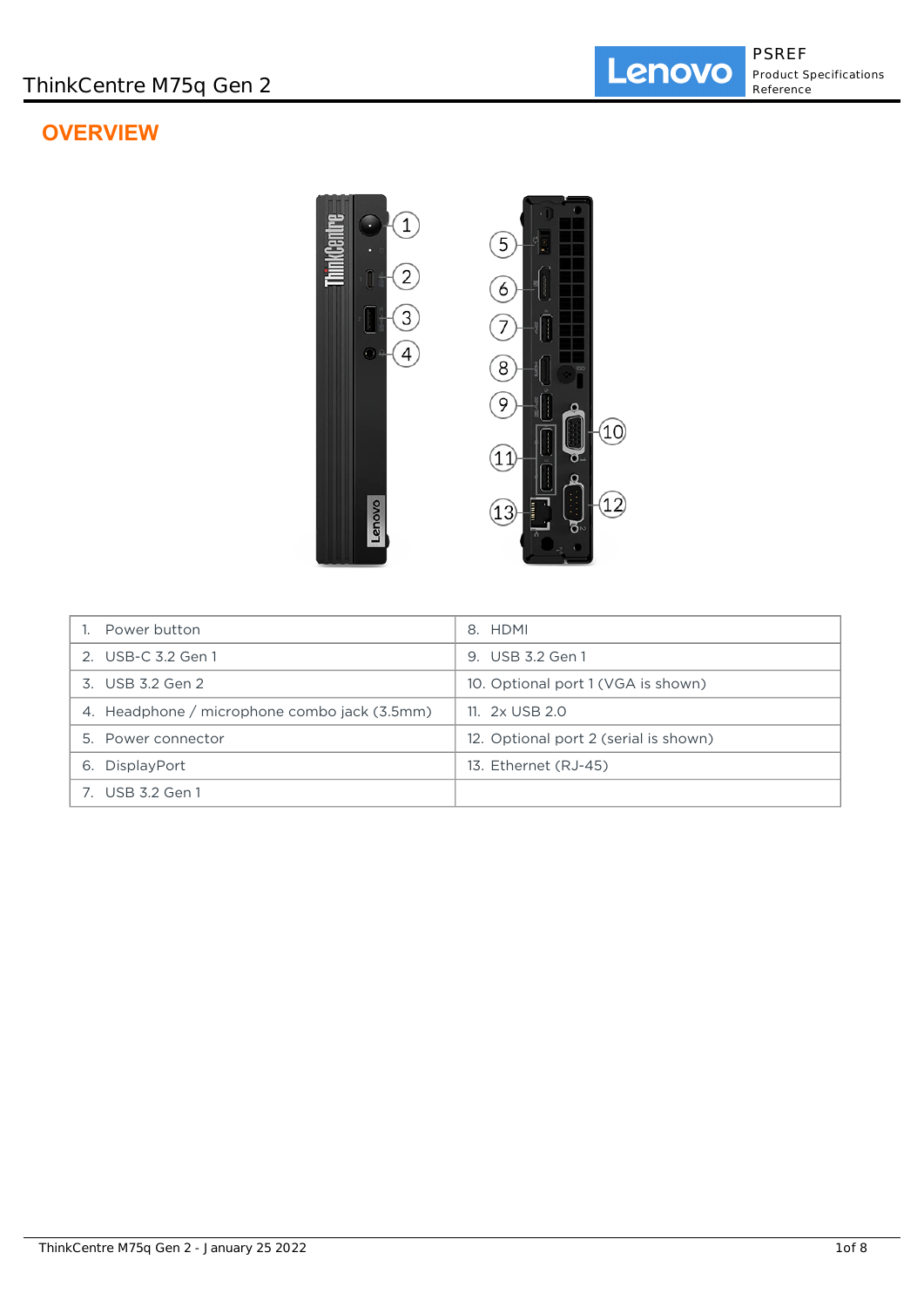# **OVERVIEW**



| Power button                                 | 8. HDMI                               |
|----------------------------------------------|---------------------------------------|
| 2. USB-C 3.2 Gen 1                           | 9. USB 3.2 Gen 1                      |
| 3. USB 3.2 Gen 2                             | 10. Optional port 1 (VGA is shown)    |
| 4. Headphone / microphone combo jack (3.5mm) | 11. $2x$ USB 2.0                      |
| 5. Power connector                           | 12. Optional port 2 (serial is shown) |
| 6. DisplayPort                               | 13. Ethernet (RJ-45)                  |
| 7. USB 3.2 Gen 1                             |                                       |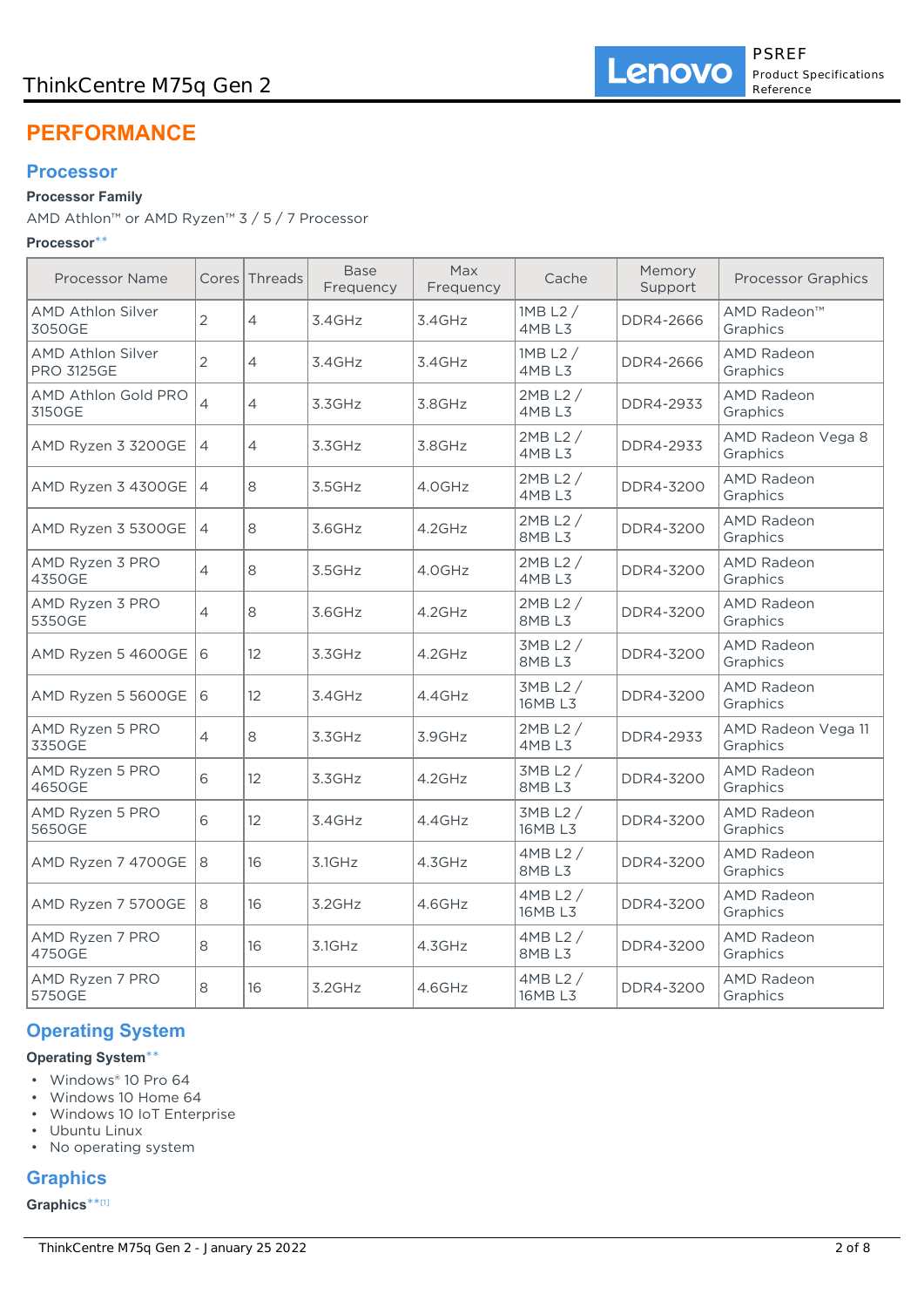# ThinkCentre M75q Gen 2

# **PERFORMANCE**

## **Processor**

## **Processor Family**

AMD Athlon™ or AMD Ryzen™ 3 / 5 / 7 Processor

### **Processor**\*\*

| <b>Processor Name</b>                  |                          | Cores Threads     | <b>Base</b><br>Frequency | Max<br>Frequency | Cache                 | Memory<br>Support | <b>Processor Graphics</b>      |
|----------------------------------------|--------------------------|-------------------|--------------------------|------------------|-----------------------|-------------------|--------------------------------|
| <b>AMD Athlon Silver</b><br>3050GE     | $\overline{2}$           | 4                 | 3.4GHz                   | 3.4GHz           | $1MB$ L2 $/$<br>4MBL3 | DDR4-2666         | AMD Radeon™<br>Graphics        |
| AMD Athlon Silver<br><b>PRO 3125GE</b> | $\overline{2}$           | 4                 | 3.4GHz                   | 3.4GHz           | $1MB$ L2 $/$<br>4MBL3 | DDR4-2666         | <b>AMD Radeon</b><br>Graphics  |
| AMD Athlon Gold PRO<br>3150GE          | $\overline{\mathcal{L}}$ | 4                 | 3.3GHz                   | 3.8GHz           | $2MB$ L2 $/$<br>4MBL3 | DDR4-2933         | <b>AMD Radeon</b><br>Graphics  |
| AMD Ryzen 3 3200GE                     | $\overline{4}$           | 4                 | 3.3GHz                   | 3.8GHz           | 2MB L2 /<br>4MBL3     | DDR4-2933         | AMD Radeon Vega 8<br>Graphics  |
| AMD Ryzen 3 4300GE                     | $\overline{4}$           | 8                 | 3.5GHz                   | 4.0GHz           | 2MB L2 /<br>4MB L3    | DDR4-3200         | <b>AMD Radeon</b><br>Graphics  |
| AMD Ryzen 3 5300GE                     | $\overline{4}$           | 8                 | 3.6GHz                   | $4.2$ GHz        | 2MB L2 /<br>8MBL3     | DDR4-3200         | <b>AMD Radeon</b><br>Graphics  |
| AMD Ryzen 3 PRO<br>4350GE              | $\overline{4}$           | 8                 | 3.5GHz                   | 4.0GHz           | 2MB L2 /<br>4MBL3     | DDR4-3200         | <b>AMD Radeon</b><br>Graphics  |
| AMD Ryzen 3 PRO<br>5350GE              | $\overline{\mathcal{L}}$ | 8                 | 3.6GHz                   | $4.2$ GHz        | 2MB L2 /<br>8MBL3     | DDR4-3200         | <b>AMD Radeon</b><br>Graphics  |
| AMD Ryzen 5 4600GE                     | 16                       | $12 \overline{ }$ | 3.3GHz                   | $4.2$ GHz        | 3MB L2 /<br>8MBL3     | DDR4-3200         | <b>AMD Radeon</b><br>Graphics  |
| AMD Ryzen 5 5600GE                     | 6                        | 12 <sup>°</sup>   | 3.4GHz                   | 4.4GHz           | 3MB L2 /<br>16MB L3   | DDR4-3200         | <b>AMD Radeon</b><br>Graphics  |
| AMD Ryzen 5 PRO<br>3350GE              | 4                        | 8                 | 3.3GHz                   | 3.9GHz           | $2MB$ L2 $/$<br>4MBL3 | DDR4-2933         | AMD Radeon Vega 11<br>Graphics |
| AMD Ryzen 5 PRO<br>4650GE              | 6                        | 12 <sup>°</sup>   | 3.3GHz                   | 4.2GHz           | 3MB L2 /<br>8MBL3     | DDR4-3200         | <b>AMD Radeon</b><br>Graphics  |
| AMD Ryzen 5 PRO<br>5650GE              | 6                        | 12                | 3.4GHz                   | 4.4GHz           | 3MB L2 /<br>16MB L3   | DDR4-3200         | <b>AMD Radeon</b><br>Graphics  |
| AMD Ryzen 7 4700GE                     | 8                        | 16                | 3.1GHz                   | 4.3GHz           | 4MB L2 /<br>8MBL3     | DDR4-3200         | <b>AMD Radeon</b><br>Graphics  |
| AMD Ryzen 7 5700GE                     | 8                        | 16                | 3.2GHz                   | 4.6GHz           | 4MB L2 /<br>16MB L3   | DDR4-3200         | <b>AMD Radeon</b><br>Graphics  |
| AMD Ryzen 7 PRO<br>4750GE              | 8                        | 16                | 3.1GHz                   | 4.3GHz           | 4MB L2 /<br>8MBL3     | DDR4-3200         | <b>AMD Radeon</b><br>Graphics  |
| AMD Ryzen 7 PRO<br>5750GE              | 8                        | 16                | 3.2GHz                   | 4.6GHz           | 4MB L2 /<br>16MB L3   | DDR4-3200         | <b>AMD Radeon</b><br>Graphics  |

# **Operating System**

## **Operating System**\*\*

- Windows® 10 Pro 64
- Windows 10 Home 64
- Windows 10 IoT Enterprise
- Ubuntu Linux
- No operating system

# **Graphics**

#### **Graphics**\*\* [1]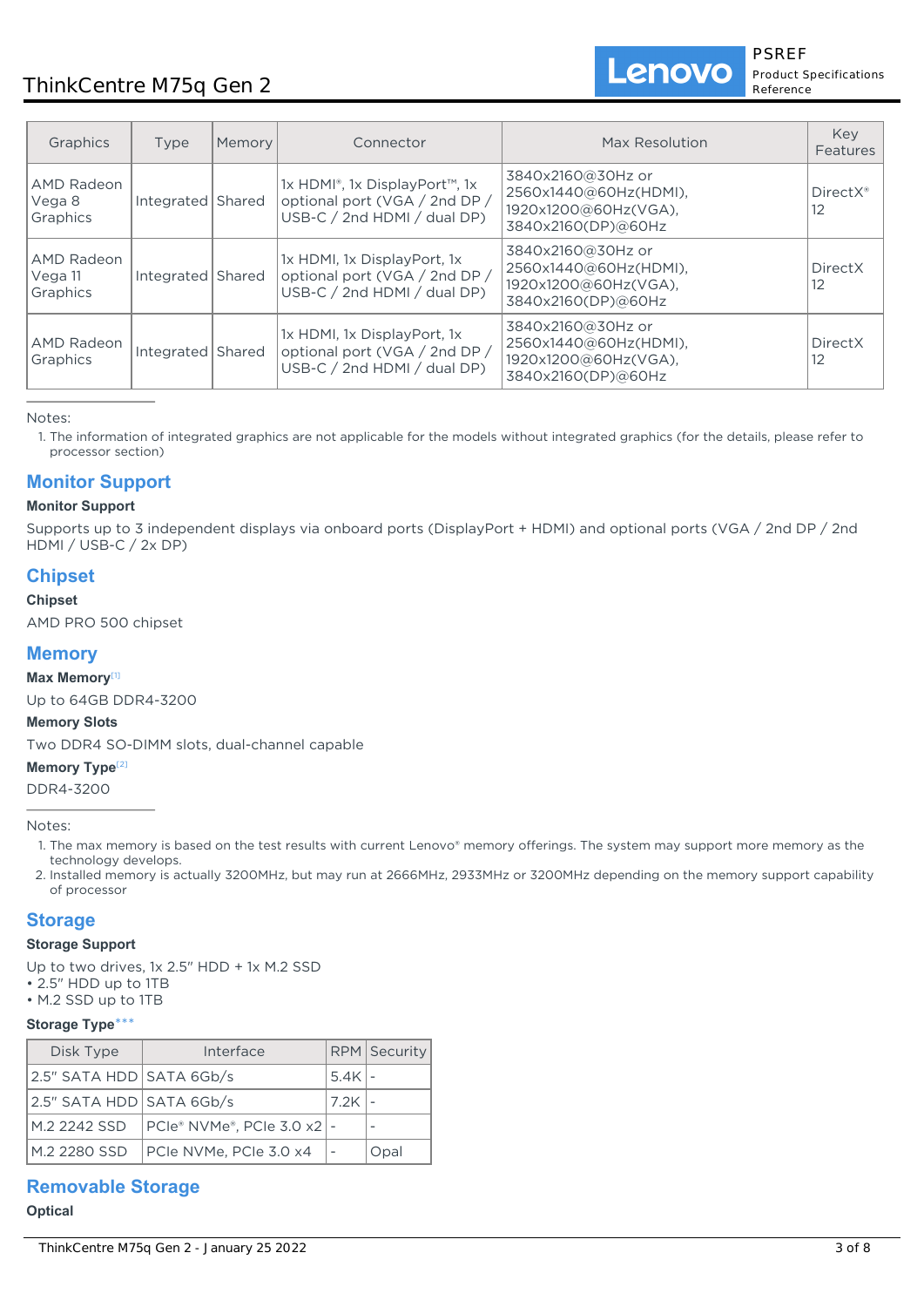# ThinkCentre M75q Gen 2

PSREF Product Specifications Reference

Lenovo

| Graphics                          | Type                | Memory | Connector                                                                                     | Max Resolution                                                                           | Key<br>Features                           |
|-----------------------------------|---------------------|--------|-----------------------------------------------------------------------------------------------|------------------------------------------------------------------------------------------|-------------------------------------------|
| AMD Radeon<br>Vega 8<br>Graphics  | Integrated   Shared |        | 1x HDMI®, 1x DisplayPort™, 1x<br>optional port (VGA / 2nd DP /<br>USB-C / 2nd HDMI / dual DP) | 3840x2160@30Hz or<br>2560x1440@60Hz(HDMI),<br>1920x1200@60Hz(VGA),<br>3840x2160(DP)@60Hz | DirectX <sup>®</sup><br>$12 \overline{ }$ |
| AMD Radeon<br>Vega 11<br>Graphics | Integrated          | Shared | 1x HDMI, 1x DisplayPort, 1x<br>optional port (VGA / 2nd DP /<br>USB-C / 2nd HDMI / dual DP)   | 3840x2160@30Hz or<br>2560x1440@60Hz(HDMI),<br>1920x1200@60Hz(VGA),<br>3840x2160(DP)@60Hz | DirectX<br>$12 \overline{ }$              |
| AMD Radeon<br>Graphics            | Integrated   Shared |        | 1x HDMI, 1x DisplayPort, 1x<br>optional port (VGA / 2nd DP /<br>$USB-C / 2nd HDMI / dual DP$  | 3840x2160@30Hz or<br>2560x1440@60Hz(HDMI),<br>1920x1200@60Hz(VGA),<br>3840x2160(DP)@60Hz | <b>DirectX</b><br>12                      |

Notes:

1. The information of integrated graphics are not applicable for the models without integrated graphics (for the details, please refer to processor section)

# **Monitor Support**

## **Monitor Support**

Supports up to 3 independent displays via onboard ports (DisplayPort + HDMI) and optional ports (VGA / 2nd DP / 2nd HDMI / USB-C / 2x DP)

# **Chipset**

### **Chipset**

AMD PRO 500 chipset

## **Memory**

## **Max Memory**[1]

Up to 64GB DDR4-3200

### **Memory Slots**

Two DDR4 SO-DIMM slots, dual-channel capable

#### **Memory Type**<sup>[2]</sup>

DDR4-3200

#### Notes:

- 1. The max memory is based on the test results with current Lenovo® memory offerings. The system may support more memory as the technology develops.
- 2. Installed memory is actually 3200MHz, but may run at 2666MHz, 2933MHz or 3200MHz depending on the memory support capability of processor

## **Storage**

#### **Storage Support**

Up to two drives, 1x 2.5" HDD + 1x M.2 SSD

- 2.5" HDD up to 1TB
- M.2 SSD up to 1TB

### **Storage Type**\*\*\*

| Disk Type                  | Interface                                     |          | <b>RPM</b> Security |
|----------------------------|-----------------------------------------------|----------|---------------------|
| 2.5" SATA HDD SATA 6Gb/s   |                                               | $5.4K$ - |                     |
| $2.5"$ SATA HDD SATA 6Gb/s |                                               | 7.2K     |                     |
| M.2 2242 SSD               | $ PCle^*$ NVMe <sup>®</sup> , PCIe 3.0 x2   - |          |                     |
| M.2 2280 SSD               | PCIe NVMe, PCIe 3.0 x4                        |          | Opal                |

## **Removable Storage**

#### **Optical**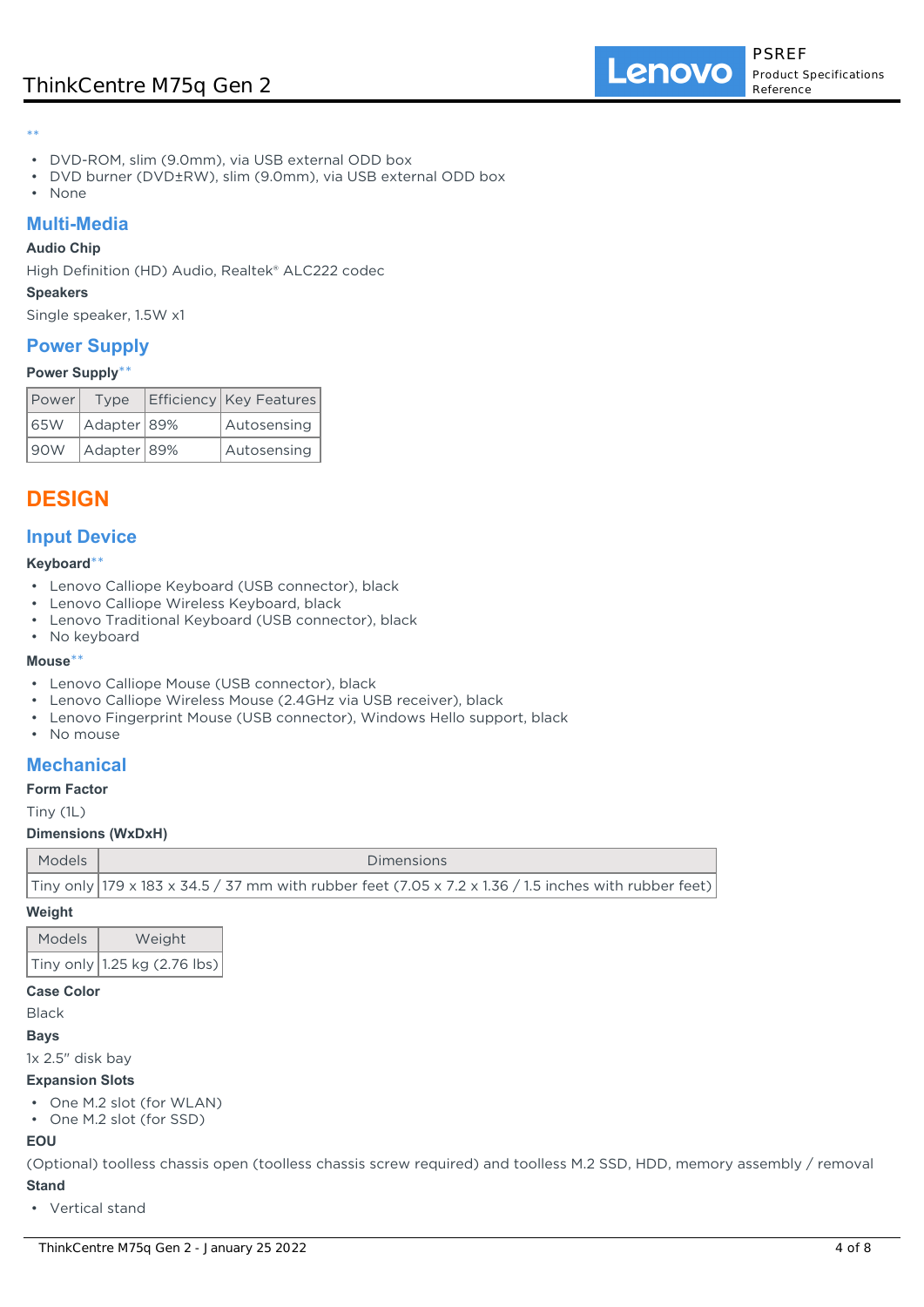\*\*

- DVD-ROM, slim (9.0mm), via USB external ODD box
- DVD burner (DVD±RW), slim (9.0mm), via USB external ODD box
- None

## **Multi-Media**

## **Audio Chip**

High Definition (HD) Audio, Realtek® ALC222 codec

### **Speakers**

Single speaker, 1.5W x1

## **Power Supply**

### **Power Supply**\*\*

| Power | Type        | Efficiency   Key Features |
|-------|-------------|---------------------------|
| 165W  | Adapter 89% | Autosensing               |
| 190W  | Adapter 89% | Autosensing               |

# **DESIGN**

## **Input Device**

### **Keyboard**\*\*

- Lenovo Calliope Keyboard (USB connector), black
- Lenovo Calliope Wireless Keyboard, black
- Lenovo Traditional Keyboard (USB connector), black
- No keyboard

#### **Mouse**\*\*

- Lenovo Calliope Mouse (USB connector), black
- Lenovo Calliope Wireless Mouse (2.4GHz via USB receiver), black
- Lenovo Fingerprint Mouse (USB connector), Windows Hello support, black
- No mouse

## **Mechanical**

### **Form Factor**

Tiny (1L)

### **Dimensions (WxDxH)**

| Models | <b>Dimensions</b>                                                                                     |
|--------|-------------------------------------------------------------------------------------------------------|
|        | Tiny only 179 x 183 x 34.5 / 37 mm with rubber feet (7.05 x 7.2 x 1.36 / 1.5 inches with rubber feet) |

#### **Weight**

| <b>Models</b> | Weight                                           |
|---------------|--------------------------------------------------|
|               | Tiny only $ 1.25 \text{ kg} (2.76 \text{ lbs}) $ |

## **Case Color**

Black

#### **Bays**

1x 2.5" disk bay

#### **Expansion Slots**

- One M.2 slot (for WLAN)
- One M.2 slot (for SSD)

## **EOU**

(Optional) toolless chassis open (toolless chassis screw required) and toolless M.2 SSD, HDD, memory assembly / removal **Stand**

• Vertical stand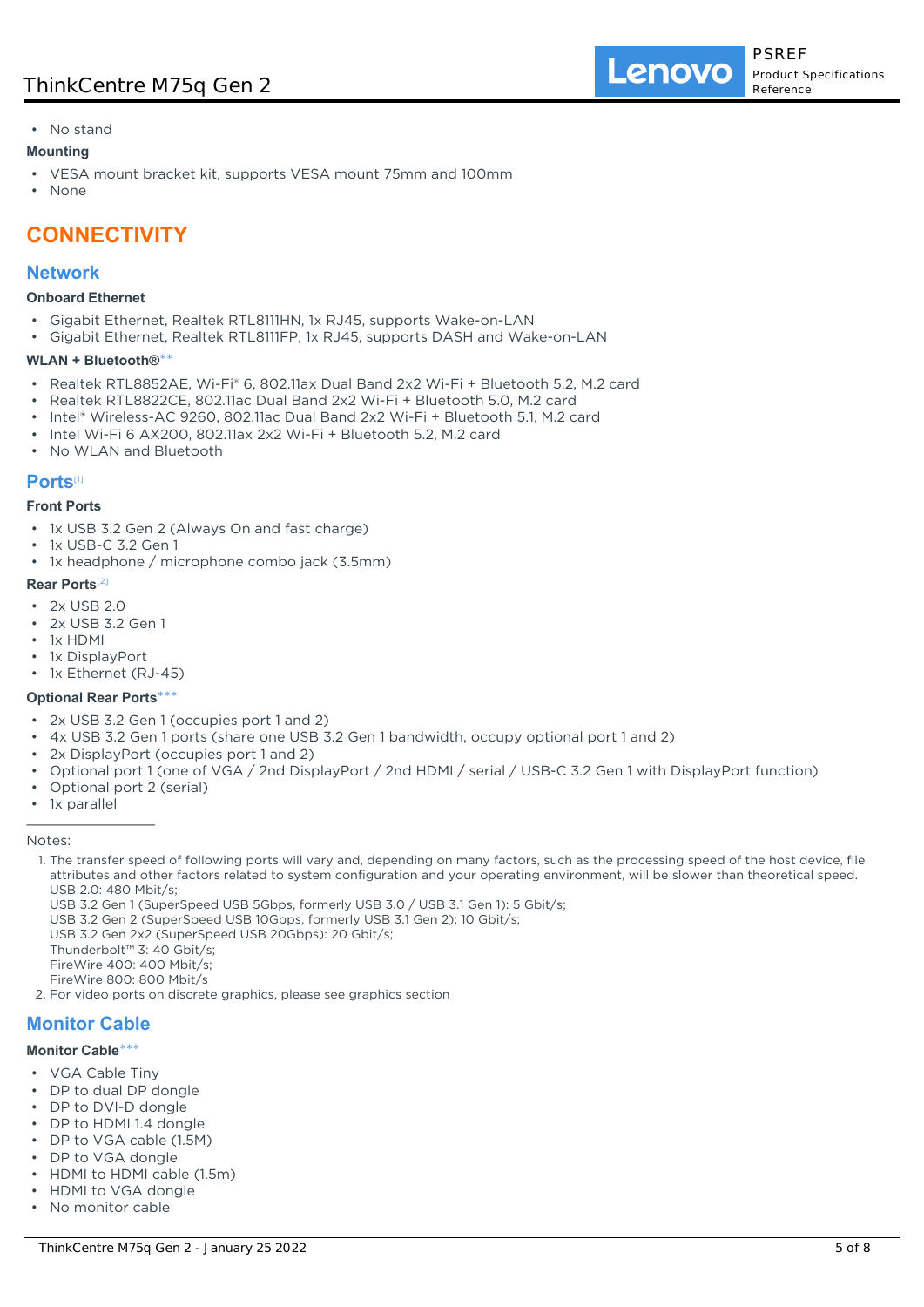## • No stand

## **Mounting**

- VESA mount bracket kit, supports VESA mount 75mm and 100mm
- None

# **CONNECTIVITY**

## **Network**

#### **Onboard Ethernet**

- Gigabit Ethernet, Realtek RTL8111HN, 1x RJ45, supports Wake-on-LAN
- Gigabit Ethernet, Realtek RTL8111FP, 1x RJ45, supports DASH and Wake-on-LAN

#### **WLAN + Bluetooth®**\*\*

- Realtek RTL8852AE, Wi-Fi® 6, 802.11ax Dual Band 2x2 Wi-Fi + Bluetooth 5.2, M.2 card
- Realtek RTL8822CE, 802.11ac Dual Band 2x2 Wi-Fi + Bluetooth 5.0, M.2 card
- Intel® Wireless-AC 9260, 802.11ac Dual Band 2x2 Wi-Fi + Bluetooth 5.1, M.2 card
- Intel Wi-Fi 6 AX200, 802.11ax 2x2 Wi-Fi + Bluetooth 5.2, M.2 card
- No WLAN and Bluetooth

## **Ports**[1]

#### **Front Ports**

- 1x USB 3.2 Gen 2 (Always On and fast charge)
- 1x USB-C 3.2 Gen 1
- 1x headphone / microphone combo jack (3.5mm)

#### **Rear Ports**[2]

- 2x USB 2.0
- 2x USB 3.2 Gen 1
- 1x HDMI
- 1x DisplayPort
- 1x Ethernet (RJ-45)

### **Optional Rear Ports**\*\*\*

- 2x USB 3.2 Gen 1 (occupies port 1 and 2)
- 4x USB 3.2 Gen 1 ports (share one USB 3.2 Gen 1 bandwidth, occupy optional port 1 and 2)
- 2x DisplayPort (occupies port 1 and 2)
- Optional port 1 (one of VGA / 2nd DisplayPort / 2nd HDMI / serial / USB-C 3.2 Gen 1 with DisplayPort function)
- Optional port 2 (serial)
- 1x parallel

#### Notes:

- 1. The transfer speed of following ports will vary and, depending on many factors, such as the processing speed of the host device, file attributes and other factors related to system configuration and your operating environment, will be slower than theoretical speed. USB 2.0: 480 Mbit/s;
	- USB 3.2 Gen 1 (SuperSpeed USB 5Gbps, formerly USB 3.0 / USB 3.1 Gen 1): 5 Gbit/s;

USB 3.2 Gen 2 (SuperSpeed USB 10Gbps, formerly USB 3.1 Gen 2): 10 Gbit/s;

USB 3.2 Gen 2x2 (SuperSpeed USB 20Gbps): 20 Gbit/s;

- Thunderbolt™ 3: 40 Gbit/s;
- FireWire 400: 400 Mbit/s;
- FireWire 800: 800 Mbit/s

2. For video ports on discrete graphics, please see graphics section

# **Monitor Cable**

## **Monitor Cable**\*\*\*

- VGA Cable Tiny
- DP to dual DP dongle
- DP to DVI-D dongle
- DP to HDMI 1.4 dongle
- DP to VGA cable (1.5M)
- DP to VGA dongle
- HDMI to HDMI cable (1.5m)
- HDMI to VGA dongle
- No monitor cable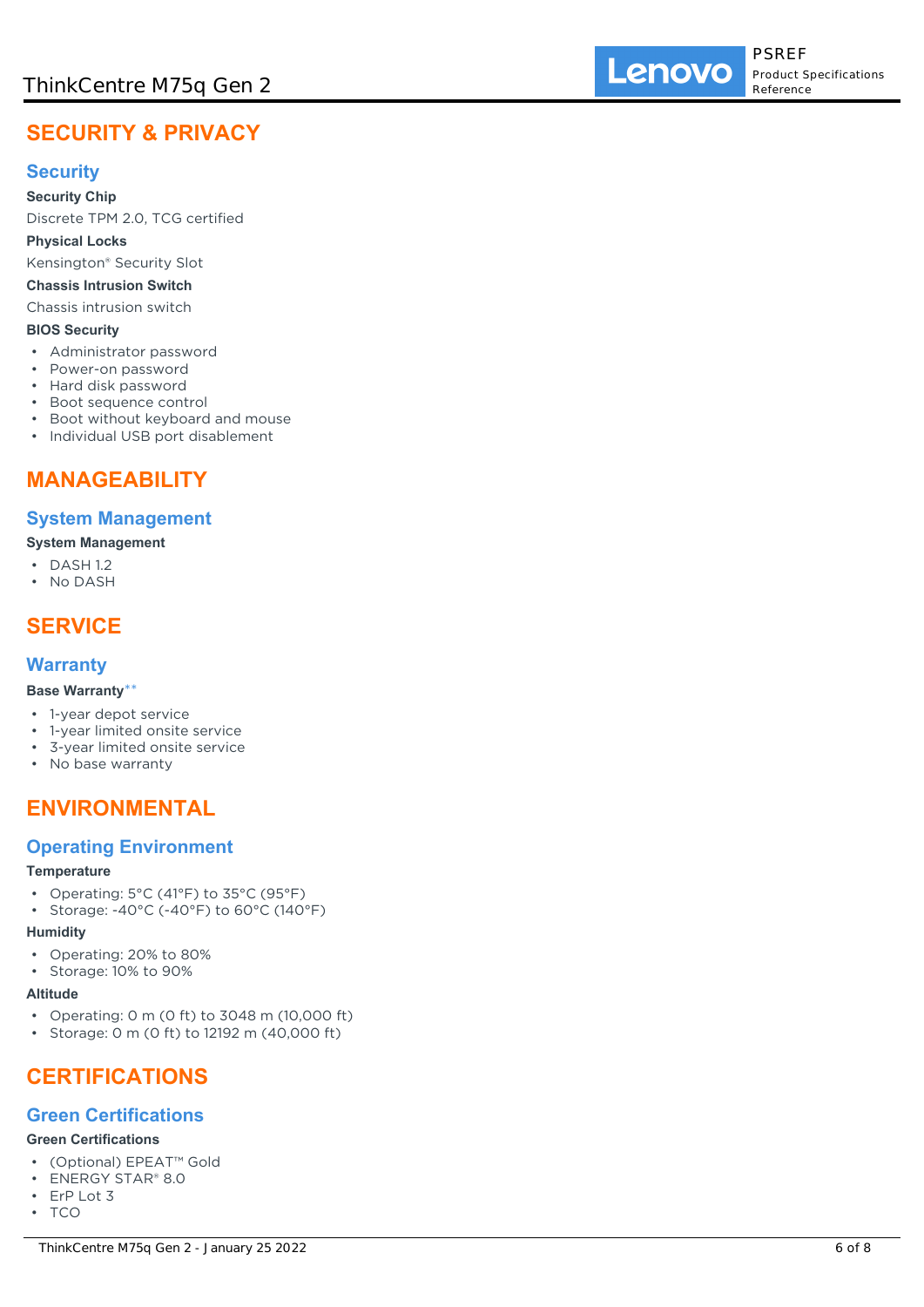# **SECURITY & PRIVACY**

# **Security**

**Security Chip**

Discrete TPM 2.0, TCG certified

## **Physical Locks**

Kensington® Security Slot

## **Chassis Intrusion Switch**

Chassis intrusion switch

## **BIOS Security**

- Administrator password
- Power-on password
- Hard disk password
- Boot sequence control
- Boot without keyboard and mouse
- Individual USB port disablement

# **MANAGEABILITY**

## **System Management**

## **System Management**

- DASH 1.2
- No DASH

# **SERVICE**

## **Warranty**

## **Base Warranty**\*\*

- 1-year depot service
- 1-year limited onsite service
- 3-year limited onsite service
- No base warranty

# **ENVIRONMENTAL**

# **Operating Environment**

### **Temperature**

- Operating: 5°C (41°F) to 35°C (95°F)
- Storage: -40°C (-40°F) to 60°C (140°F)

### **Humidity**

- Operating: 20% to 80%
- Storage: 10% to 90%

### **Altitude**

- Operating: 0 m (0 ft) to 3048 m (10,000 ft)
- Storage: 0 m (0 ft) to 12192 m (40,000 ft)

# **CERTIFICATIONS**

## **Green Certifications**

### **Green Certifications**

- (Optional) EPEAT™ Gold
- ENERGY STAR® 8.0
- ErP Lot 3
- TCO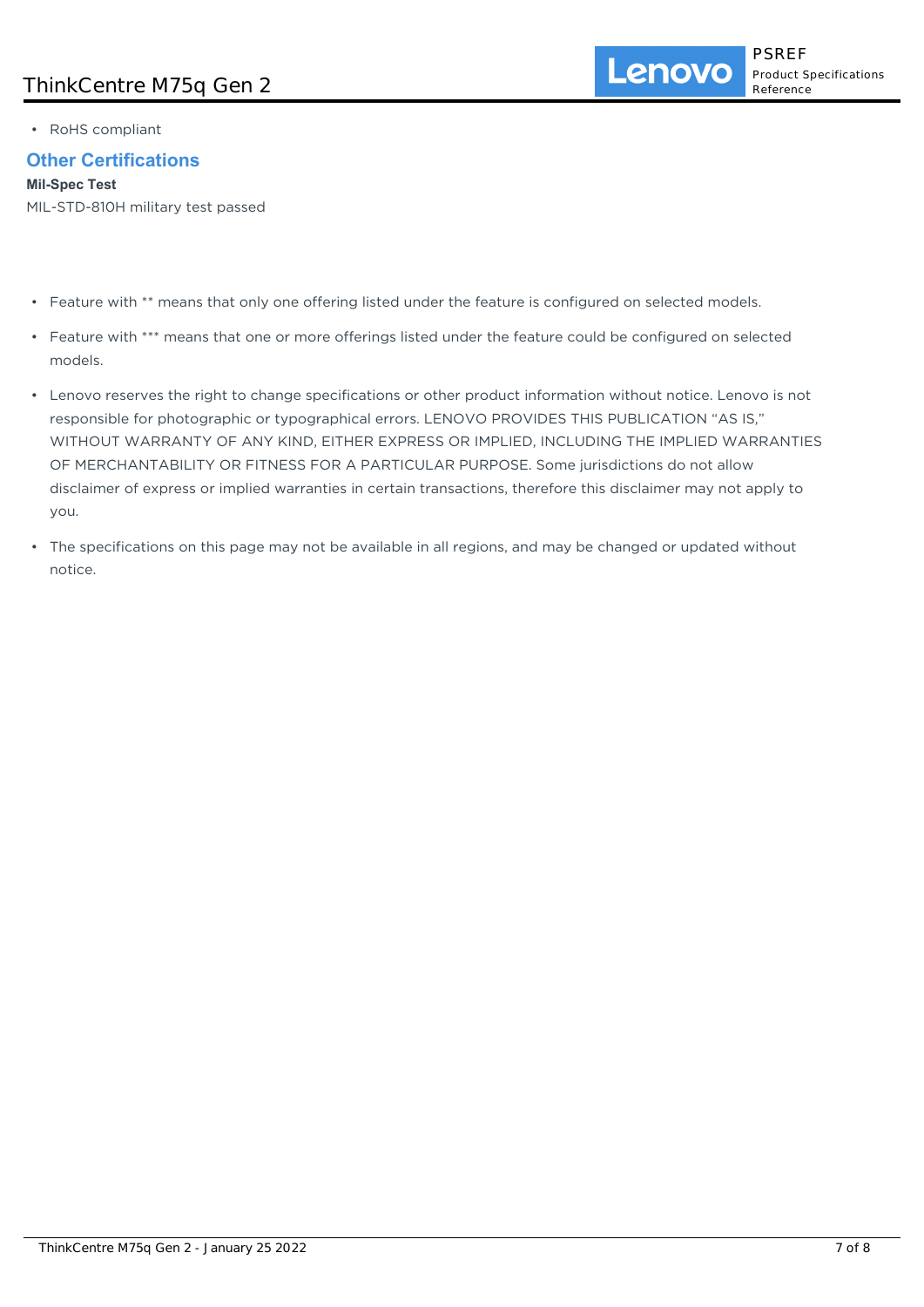• RoHS compliant

# **Other Certifications**

**Mil-Spec Test**

MIL-STD-810H military test passed

- Feature with \*\* means that only one offering listed under the feature is configured on selected models.
- Feature with \*\*\* means that one or more offerings listed under the feature could be configured on selected models.
- Lenovo reserves the right to change specifications or other product information without notice. Lenovo is not responsible for photographic or typographical errors. LENOVO PROVIDES THIS PUBLICATION "AS IS," WITHOUT WARRANTY OF ANY KIND, EITHER EXPRESS OR IMPLIED, INCLUDING THE IMPLIED WARRANTIES OF MERCHANTABILITY OR FITNESS FOR A PARTICULAR PURPOSE. Some jurisdictions do not allow disclaimer of express or implied warranties in certain transactions, therefore this disclaimer may not apply to you.
- The specifications on this page may not be available in all regions, and may be changed or updated without notice.